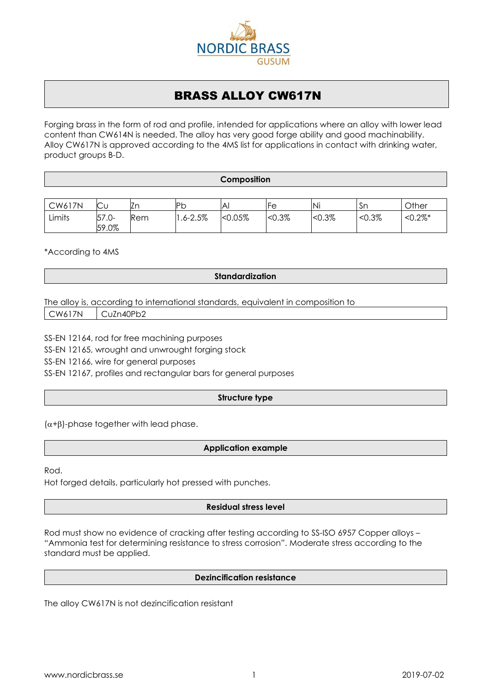

# BRASS ALLOY CW617N

Forging brass in the form of rod and profile, intended for applications where an alloy with lower lead content than CW614N is needed. The alloy has very good forge ability and good machinability. Alloy CW617N is approved according to the 4MS list for applications in contact with drinking water, product groups B-D.

**Composition**

| <b>CW617N</b> | $\sim$<br>$\smallsmile$ u | ∟r  | IPb<br>ັ | IA <sub>I</sub> | Fе        | Ni        | .Sn       | Other       |
|---------------|---------------------------|-----|----------|-----------------|-----------|-----------|-----------|-------------|
| Limits        | 57<br>. .U-<br>59.0%      | Rem | 1.6-2.5% | $< 0.05\%$      | $< 0.3\%$ | $< 0.3\%$ | $< 0.3\%$ | $< 0.2\%$ * |

\*According to 4MS

# **Standardization**

The alloy is, according to international standards, equivalent in composition to

CW617N CuZn40Pb2

SS-EN 12164, rod for free machining purposes

SS-EN 12165, wrought and unwrought forging stock

SS-EN 12166, wire for general purposes

SS-EN 12167, profiles and rectangular bars for general purposes

# **Structure type**

 $(\alpha+\beta)$ -phase together with lead phase.

# **Application example**

Rod.

Hot forged details, particularly hot pressed with punches.

# **Residual stress level**

Rod must show no evidence of cracking after testing according to SS-ISO 6957 Copper alloys – "Ammonia test for determining resistance to stress corrosion". Moderate stress according to the standard must be applied.

# **Dezincification resistance**

The alloy CW617N is not dezincification resistant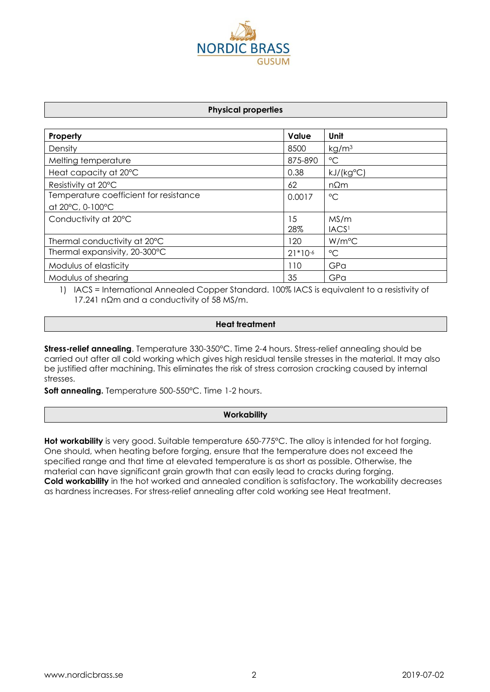

#### **Physical properties**

| Property                               | Value     | Unit               |
|----------------------------------------|-----------|--------------------|
| Density                                | 8500      | kg/m <sup>3</sup>  |
| Melting temperature                    | 875-890   | $^{\circ}$ C       |
| Heat capacity at 20°C                  | 0.38      | kJ/(kg°C)          |
| Resistivity at 20°C                    | 62        | $n\Omega$ m        |
| Temperature coefficient for resistance | 0.0017    | $^{\circ}$ C       |
| at 20°C, 0-100°C                       |           |                    |
| Conductivity at 20°C                   | 15        | MS/m               |
|                                        | 28%       | IACS <sup>1</sup>  |
| Thermal conductivity at 20°C           | 120       | W/m <sup>o</sup> C |
| Thermal expansivity, 20-300°C          | $21*10-6$ | $^{\circ}C$        |
| Modulus of elasticity                  | 110       | GPa                |
| Modulus of shearing                    | 35        | GPa                |

1) IACS = International Annealed Copper Standard. 100% IACS is equivalent to a resistivity of 17.241 nΩm and a conductivity of 58 MS/m.

#### **Heat treatment**

**Stress-relief annealing**. Temperature 330-350°C. Time 2-4 hours. Stress-relief annealing should be carried out after all cold working which gives high residual tensile stresses in the material. It may also be justified after machining. This eliminates the risk of stress corrosion cracking caused by internal stresses.

**Soft annealing.** Temperature 500-550°C. Time 1-2 hours.

#### **Workability**

**Hot workability** is very good. Suitable temperature 650-775°C. The alloy is intended for hot forging. One should, when heating before forging, ensure that the temperature does not exceed the specified range and that time at elevated temperature is as short as possible. Otherwise, the material can have significant grain growth that can easily lead to cracks during forging. **Cold workability** in the hot worked and annealed condition is satisfactory. The workability decreases as hardness increases. For stress-relief annealing after cold working see Heat treatment.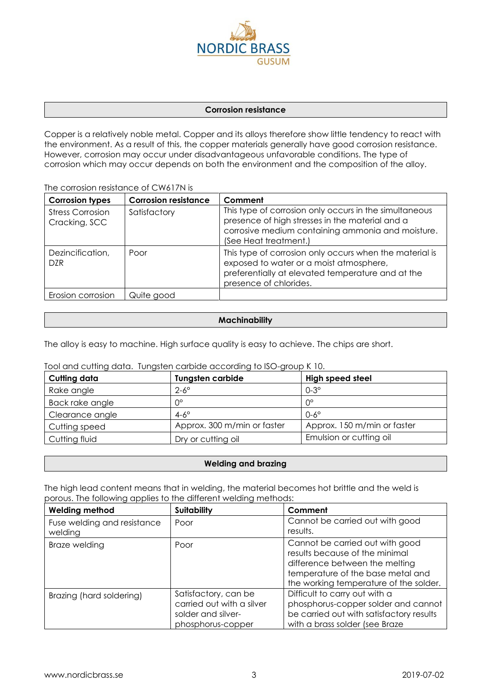

#### **Corrosion resistance**

Copper is a relatively noble metal. Copper and its alloys therefore show little tendency to react with the environment. As a result of this, the copper materials generally have good corrosion resistance. However, corrosion may occur under disadvantageous unfavorable conditions. The type of corrosion which may occur depends on both the environment and the composition of the alloy.

The corrosion resistance of CW617N is

| <b>Corrosion types</b>                   | <b>Corrosion resistance</b> | Comment                                                                                                                                                                                 |
|------------------------------------------|-----------------------------|-----------------------------------------------------------------------------------------------------------------------------------------------------------------------------------------|
| <b>Stress Corrosion</b><br>Cracking, SCC | Satisfactory                | This type of corrosion only occurs in the simultaneous<br>presence of high stresses in the material and a<br>corrosive medium containing ammonia and moisture.<br>(See Heat treatment.) |
| Dezincification,<br><b>DZR</b>           | Poor                        | This type of corrosion only occurs when the material is<br>exposed to water or a moist atmosphere,<br>preferentially at elevated temperature and at the<br>presence of chlorides.       |
| Erosion corrosion                        | Quite good                  |                                                                                                                                                                                         |

# **Machinability**

The alloy is easy to machine. High surface quality is easy to achieve. The chips are short.

| Cutting data    | <b>Tungsten carbide</b>     | High speed steel            |
|-----------------|-----------------------------|-----------------------------|
| Rake angle      | $2-6^\circ$                 | $0-3^\circ$                 |
| Back rake angle | $0^{\circ}$                 | ∩°                          |
| Clearance angle | $4-6^\circ$                 | $0-6^\circ$                 |
| Cutting speed   | Approx. 300 m/min or faster | Approx. 150 m/min or faster |
| Cutting fluid   | Dry or cutting oil          | Emulsion or cutting oil     |

#### Tool and cutting data. Tungsten carbide according to ISO-group K 10.

# **Welding and brazing**

The high lead content means that in welding, the material becomes hot brittle and the weld is porous. The following applies to the different welding methods:

| <b>Welding method</b>                  | <b>Suitability</b>                                                                                                                                                                         | Comment                                                                                                                                             |  |
|----------------------------------------|--------------------------------------------------------------------------------------------------------------------------------------------------------------------------------------------|-----------------------------------------------------------------------------------------------------------------------------------------------------|--|
| Fuse welding and resistance<br>welding | Poor                                                                                                                                                                                       | Cannot be carried out with good<br>results.                                                                                                         |  |
| Braze welding                          | Cannot be carried out with good<br>Poor<br>results because of the minimal<br>difference between the melting<br>temperature of the base metal and<br>the working temperature of the solder. |                                                                                                                                                     |  |
| Brazing (hard soldering)               | Satisfactory, can be<br>carried out with a silver<br>solder and silver-<br>phosphorus-copper                                                                                               | Difficult to carry out with a<br>phosphorus-copper solder and cannot<br>be carried out with satisfactory results<br>with a brass solder (see Braze) |  |